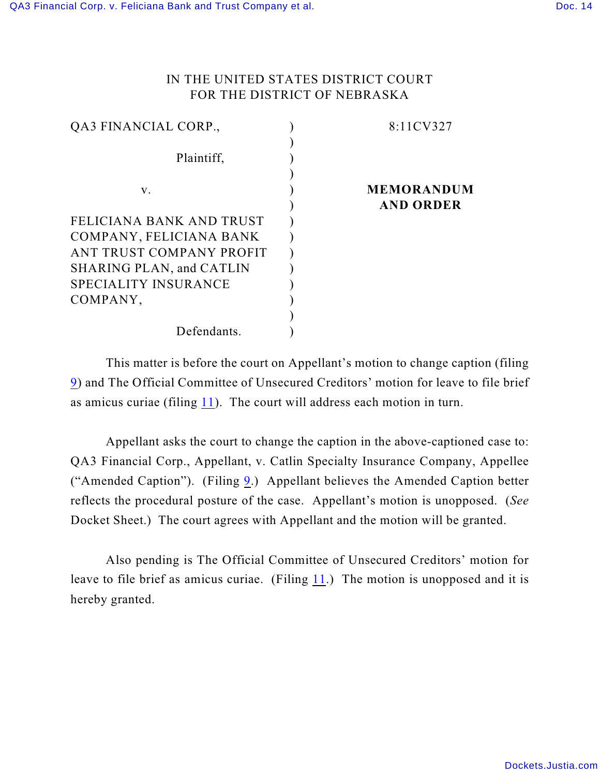## IN THE UNITED STATES DISTRICT COURT FOR THE DISTRICT OF NEBRASKA

| QA3 FINANCIAL CORP.,            | 8:11CV327         |
|---------------------------------|-------------------|
| Plaintiff,                      |                   |
|                                 |                   |
| V.                              | <b>MEMORANDUM</b> |
|                                 | <b>AND ORDER</b>  |
| FELICIANA BANK AND TRUST        |                   |
| COMPANY, FELICIANA BANK         |                   |
| ANT TRUST COMPANY PROFIT        |                   |
| <b>SHARING PLAN, and CATLIN</b> |                   |
| <b>SPECIALITY INSURANCE</b>     |                   |
| COMPANY,                        |                   |
|                                 |                   |
| Defendants.                     |                   |
|                                 |                   |

This matter is before the court on Appellant's motion to change caption (filing [9](https://ecf.ned.uscourts.gov/doc1/11302386650)) and The Official Committee of Unsecured Creditors' motion for leave to file brief as amicus curiae (filing [11](https://ecf.ned.uscourts.gov/doc1/11302387939)). The court will address each motion in turn.

Appellant asks the court to change the caption in the above-captioned case to: QA3 Financial Corp., Appellant, v. Catlin Specialty Insurance Company, Appellee ("Amended Caption"). (Filing [9](https://ecf.ned.uscourts.gov/doc1/11302386650).) Appellant believes the Amended Caption better reflects the procedural posture of the case. Appellant's motion is unopposed. (*See* Docket Sheet.) The court agrees with Appellant and the motion will be granted.

Also pending is The Official Committee of Unsecured Creditors' motion for leave to file brief as amicus curiae. (Filing [11](https://ecf.ned.uscourts.gov/doc1/11302387939).) The motion is unopposed and it is hereby granted.